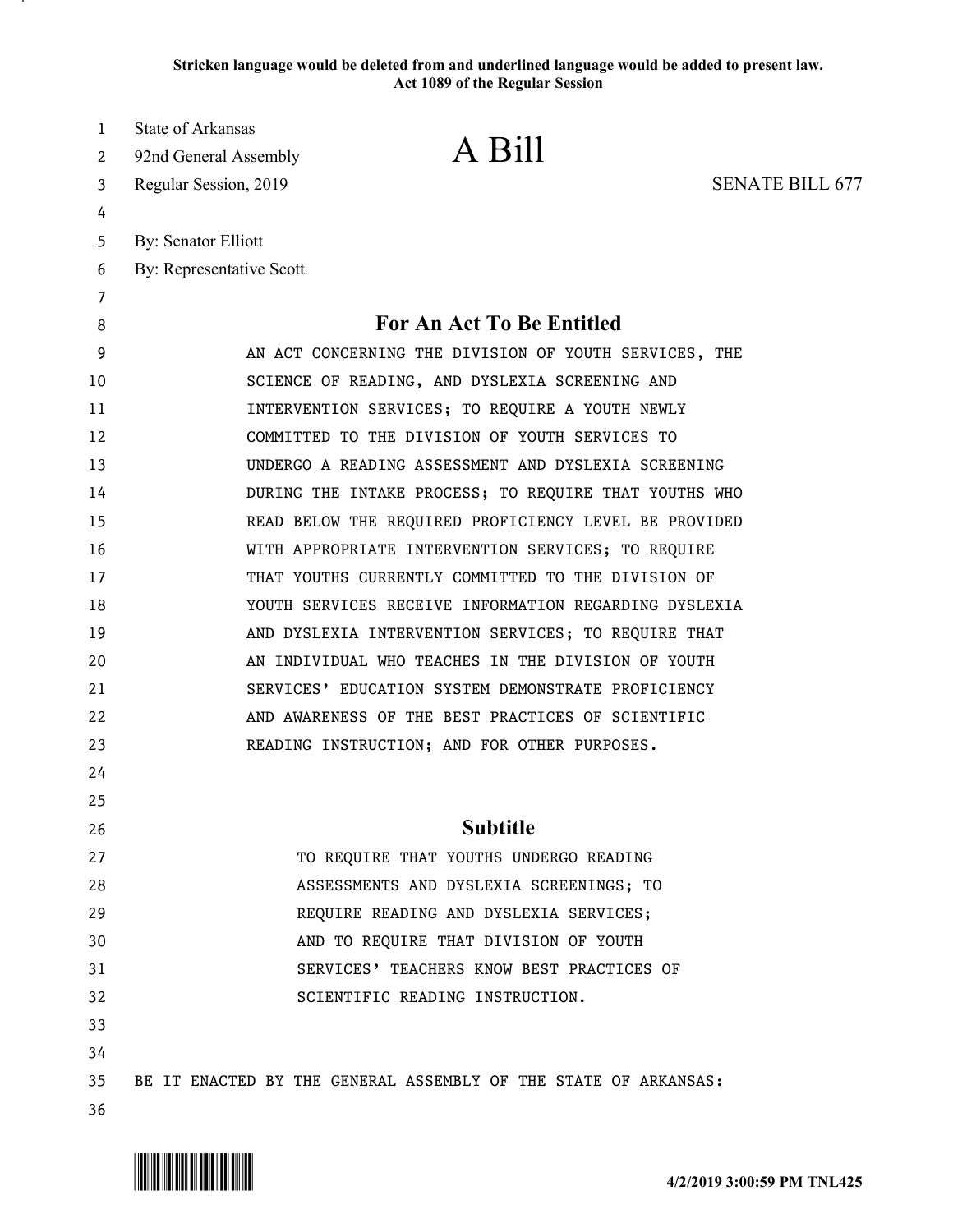**Stricken language would be deleted from and underlined language would be added to present law. Act 1089 of the Regular Session**

| 1<br>2 | State of Arkansas<br>92nd General Assembly | A Bill                                                          |                        |
|--------|--------------------------------------------|-----------------------------------------------------------------|------------------------|
| 3      | Regular Session, 2019                      |                                                                 | <b>SENATE BILL 677</b> |
| 4      |                                            |                                                                 |                        |
| 5      | <b>By: Senator Elliott</b>                 |                                                                 |                        |
| 6      | By: Representative Scott                   |                                                                 |                        |
| 7      |                                            |                                                                 |                        |
| 8      |                                            | For An Act To Be Entitled                                       |                        |
| 9      |                                            | AN ACT CONCERNING THE DIVISION OF YOUTH SERVICES, THE           |                        |
| 10     |                                            | SCIENCE OF READING, AND DYSLEXIA SCREENING AND                  |                        |
| 11     |                                            | INTERVENTION SERVICES; TO REQUIRE A YOUTH NEWLY                 |                        |
| 12     |                                            | COMMITTED TO THE DIVISION OF YOUTH SERVICES TO                  |                        |
| 13     |                                            | UNDERGO A READING ASSESSMENT AND DYSLEXIA SCREENING             |                        |
| 14     |                                            | DURING THE INTAKE PROCESS; TO REQUIRE THAT YOUTHS WHO           |                        |
| 15     |                                            | READ BELOW THE REQUIRED PROFICIENCY LEVEL BE PROVIDED           |                        |
| 16     |                                            | WITH APPROPRIATE INTERVENTION SERVICES; TO REQUIRE              |                        |
| 17     |                                            | THAT YOUTHS CURRENTLY COMMITTED TO THE DIVISION OF              |                        |
| 18     |                                            | YOUTH SERVICES RECEIVE INFORMATION REGARDING DYSLEXIA           |                        |
| 19     |                                            | AND DYSLEXIA INTERVENTION SERVICES; TO REQUIRE THAT             |                        |
| 20     |                                            | AN INDIVIDUAL WHO TEACHES IN THE DIVISION OF YOUTH              |                        |
| 21     |                                            | SERVICES' EDUCATION SYSTEM DEMONSTRATE PROFICIENCY              |                        |
| 22     |                                            | AND AWARENESS OF THE BEST PRACTICES OF SCIENTIFIC               |                        |
| 23     |                                            | READING INSTRUCTION; AND FOR OTHER PURPOSES.                    |                        |
| 24     |                                            |                                                                 |                        |
| 25     |                                            |                                                                 |                        |
| 26     |                                            | <b>Subtitle</b>                                                 |                        |
| 27     |                                            | TO REQUIRE THAT YOUTHS UNDERGO READING                          |                        |
| 28     |                                            | ASSESSMENTS AND DYSLEXIA SCREENINGS; TO                         |                        |
| 29     |                                            | REQUIRE READING AND DYSLEXIA SERVICES;                          |                        |
| 30     |                                            | AND TO REQUIRE THAT DIVISION OF YOUTH                           |                        |
| 31     |                                            | SERVICES' TEACHERS KNOW BEST PRACTICES OF                       |                        |
| 32     |                                            | SCIENTIFIC READING INSTRUCTION.                                 |                        |
| 33     |                                            |                                                                 |                        |
| 34     |                                            |                                                                 |                        |
| 35     |                                            | BE IT ENACTED BY THE GENERAL ASSEMBLY OF THE STATE OF ARKANSAS: |                        |
| 36     |                                            |                                                                 |                        |

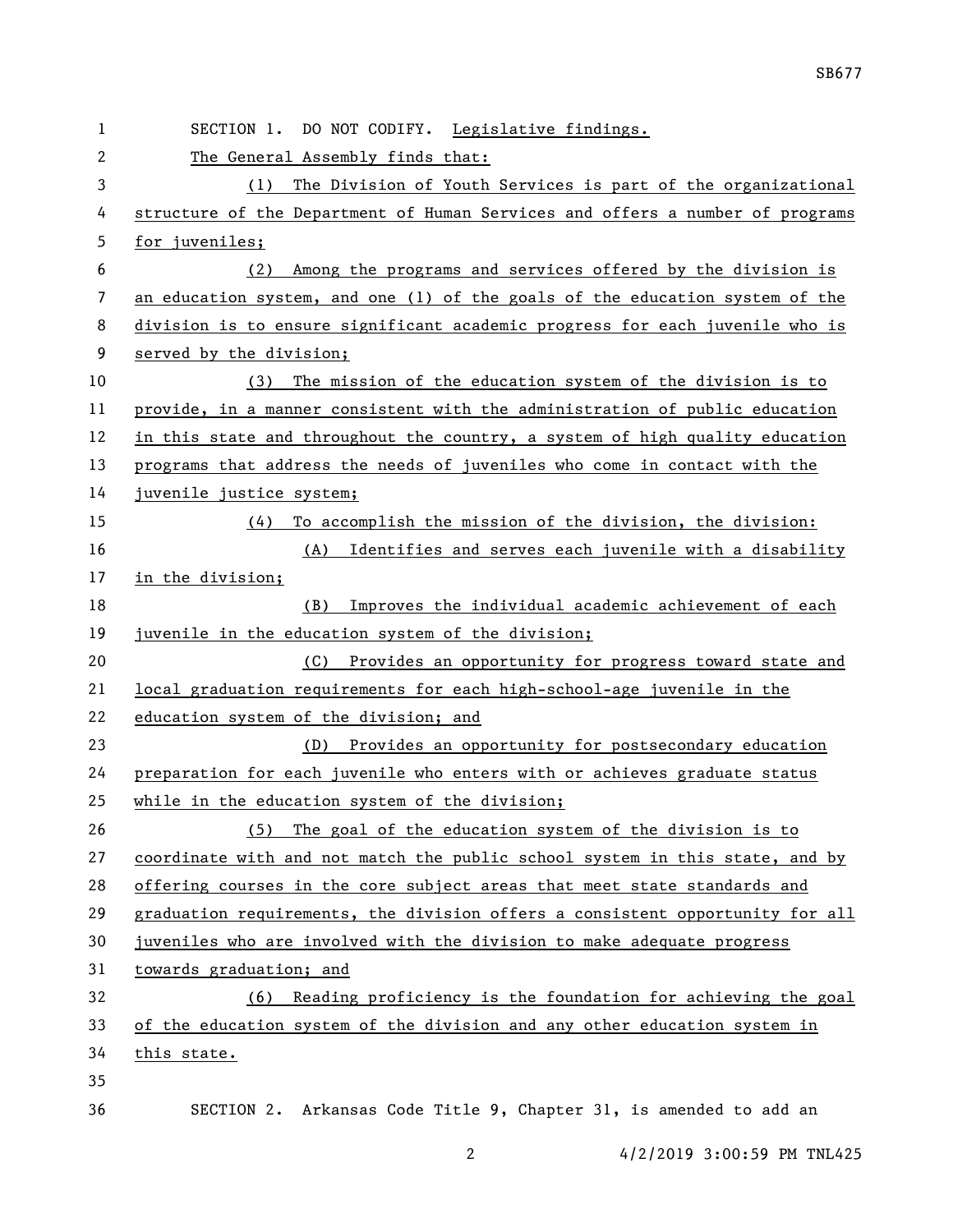| 1  | SECTION 1. DO NOT CODIFY. Legislative findings.                               |  |  |
|----|-------------------------------------------------------------------------------|--|--|
| 2  | The General Assembly finds that:                                              |  |  |
| 3  | The Division of Youth Services is part of the organizational<br>(1)           |  |  |
| 4  | structure of the Department of Human Services and offers a number of programs |  |  |
| 5  | for juveniles;                                                                |  |  |
| 6  | Among the programs and services offered by the division is<br>(2)             |  |  |
| 7  | an education system, and one (1) of the goals of the education system of the  |  |  |
| 8  | division is to ensure significant academic progress for each juvenile who is  |  |  |
| 9  | served by the division;                                                       |  |  |
| 10 | The mission of the education system of the division is to<br>(3)              |  |  |
| 11 | provide, in a manner consistent with the administration of public education   |  |  |
| 12 | in this state and throughout the country, a system of high quality education  |  |  |
| 13 | programs that address the needs of juveniles who come in contact with the     |  |  |
| 14 | juvenile justice system;                                                      |  |  |
| 15 | To accomplish the mission of the division, the division:<br>(4)               |  |  |
| 16 | (A) Identifies and serves each juvenile with a disability                     |  |  |
| 17 | in the division;                                                              |  |  |
| 18 | Improves the individual academic achievement of each<br>(B)                   |  |  |
| 19 | juvenile in the education system of the division;                             |  |  |
| 20 | (C) Provides an opportunity for progress toward state and                     |  |  |
| 21 | local graduation requirements for each high-school-age juvenile in the        |  |  |
| 22 | education system of the division; and                                         |  |  |
| 23 | (D) Provides an opportunity for postsecondary education                       |  |  |
| 24 | preparation for each juvenile who enters with or achieves graduate status     |  |  |
| 25 | while in the education system of the division;                                |  |  |
| 26 | The goal of the education system of the division is to<br>(5)                 |  |  |
| 27 | coordinate with and not match the public school system in this state, and by  |  |  |
| 28 | offering courses in the core subject areas that meet state standards and      |  |  |
| 29 | graduation requirements, the division offers a consistent opportunity for all |  |  |
| 30 | juveniles who are involved with the division to make adequate progress        |  |  |
| 31 | towards graduation; and                                                       |  |  |
| 32 | Reading proficiency is the foundation for achieving the goal<br>(6)           |  |  |
| 33 | of the education system of the division and any other education system in     |  |  |
| 34 | this state.                                                                   |  |  |
| 35 |                                                                               |  |  |
| 36 | SECTION 2. Arkansas Code Title 9, Chapter 31, is amended to add an            |  |  |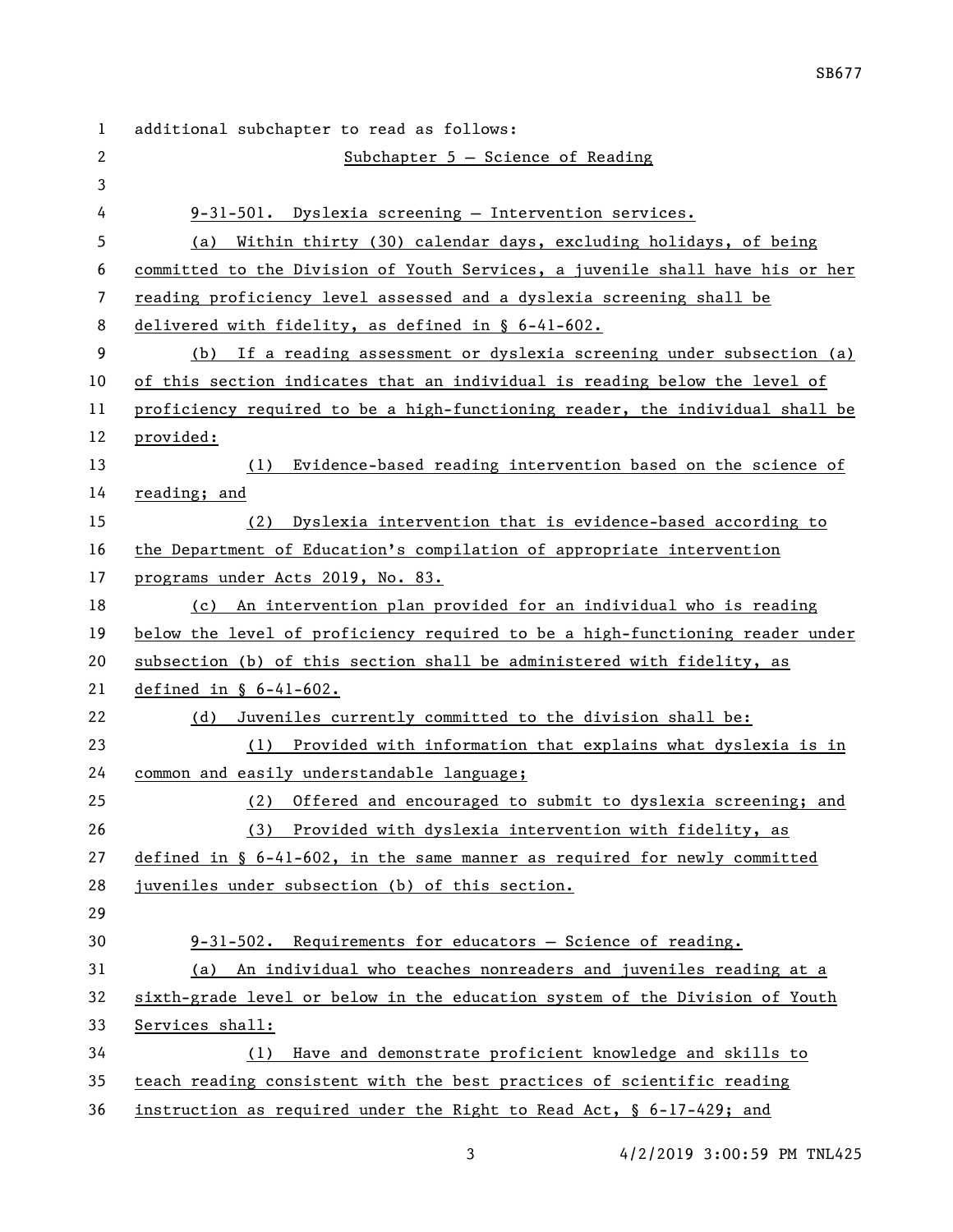additional subchapter to read as follows: Subchapter 5 — Science of Reading 9-31-501. Dyslexia screening — Intervention services. (a) Within thirty (30) calendar days, excluding holidays, of being committed to the Division of Youth Services, a juvenile shall have his or her reading proficiency level assessed and a dyslexia screening shall be delivered with fidelity, as defined in § 6-41-602. (b) If a reading assessment or dyslexia screening under subsection (a) of this section indicates that an individual is reading below the level of proficiency required to be a high-functioning reader, the individual shall be provided: (1) Evidence-based reading intervention based on the science of reading; and (2) Dyslexia intervention that is evidence-based according to the Department of Education's compilation of appropriate intervention programs under Acts 2019, No. 83. (c) An intervention plan provided for an individual who is reading below the level of proficiency required to be a high-functioning reader under subsection (b) of this section shall be administered with fidelity, as defined in § 6-41-602. (d) Juveniles currently committed to the division shall be: (1) Provided with information that explains what dyslexia is in common and easily understandable language; (2) Offered and encouraged to submit to dyslexia screening; and (3) Provided with dyslexia intervention with fidelity, as defined in § 6-41-602, in the same manner as required for newly committed juveniles under subsection (b) of this section. 9-31-502. Requirements for educators — Science of reading. (a) An individual who teaches nonreaders and juveniles reading at a sixth-grade level or below in the education system of the Division of Youth Services shall: (1) Have and demonstrate proficient knowledge and skills to teach reading consistent with the best practices of scientific reading instruction as required under the Right to Read Act, § 6-17-429; and

4/2/2019 3:00:59 PM TNL425